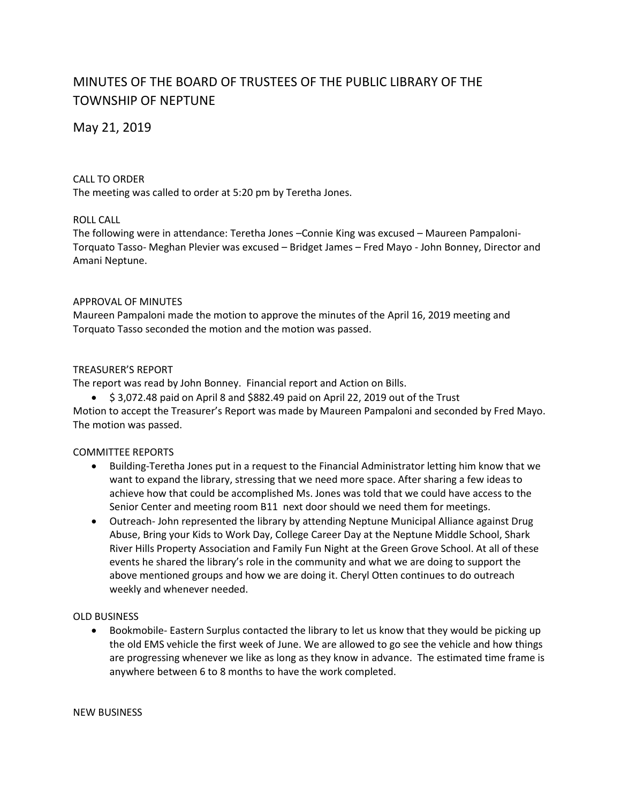# MINUTES OF THE BOARD OF TRUSTEES OF THE PUBLIC LIBRARY OF THE TOWNSHIP OF NEPTUNE

May 21, 2019

## CALL TO ORDER

The meeting was called to order at 5:20 pm by Teretha Jones.

# ROLL CALL

The following were in attendance: Teretha Jones –Connie King was excused – Maureen Pampaloni-Torquato Tasso- Meghan Plevier was excused – Bridget James – Fred Mayo - John Bonney, Director and Amani Neptune.

### APPROVAL OF MINUTES

Maureen Pampaloni made the motion to approve the minutes of the April 16, 2019 meeting and Torquato Tasso seconded the motion and the motion was passed.

# TREASURER'S REPORT

The report was read by John Bonney. Financial report and Action on Bills.

 $\bullet$  \$ 3,072.48 paid on April 8 and \$882.49 paid on April 22, 2019 out of the Trust Motion to accept the Treasurer's Report was made by Maureen Pampaloni and seconded by Fred Mayo.

The motion was passed.

### COMMITTEE REPORTS

- Building-Teretha Jones put in a request to the Financial Administrator letting him know that we want to expand the library, stressing that we need more space. After sharing a few ideas to achieve how that could be accomplished Ms. Jones was told that we could have access to the Senior Center and meeting room B11 next door should we need them for meetings.
- Outreach- John represented the library by attending Neptune Municipal Alliance against Drug Abuse, Bring your Kids to Work Day, College Career Day at the Neptune Middle School, Shark River Hills Property Association and Family Fun Night at the Green Grove School. At all of these events he shared the library's role in the community and what we are doing to support the above mentioned groups and how we are doing it. Cheryl Otten continues to do outreach weekly and whenever needed.

### OLD BUSINESS

• Bookmobile- Eastern Surplus contacted the library to let us know that they would be picking up the old EMS vehicle the first week of June. We are allowed to go see the vehicle and how things are progressing whenever we like as long as they know in advance. The estimated time frame is anywhere between 6 to 8 months to have the work completed.

#### NEW BUSINESS